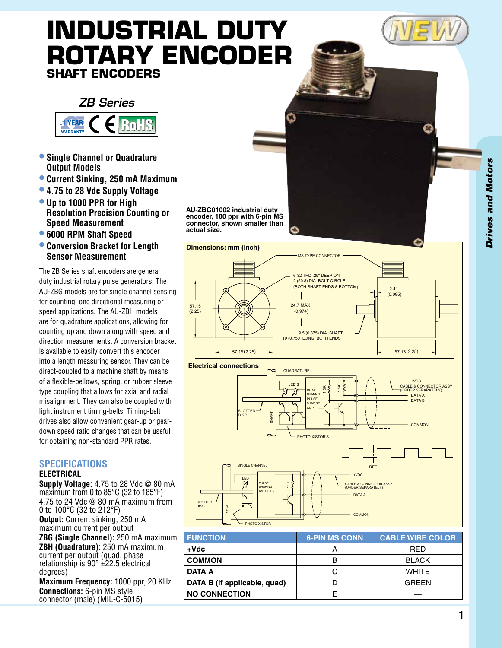# **Industrial Duty Rotary Encoder Shaft Encoders**



- **• Single Channel or Quadrature Output Models**
- **• Current Sinking, 250 mA Maximum**
- **• 4.75 to 28 Vdc Supply Voltage**
- **• Up to 1000 PPR for High Resolution Precision Counting or Speed Measurement**
- **• 6000 RPM Shaft Speed**
- **• Conversion Bracket for Length Sensor Measurement**

The ZB Series shaft encoders are general duty industrial rotary pulse generators. The AU-ZBG models are for single channel sensing for counting, one directional measuring or speed applications. The AU-ZBH models are for quadrature applications, allowing for counting up and down along with speed and direction measurements. A conversion bracket is available to easily convert this encoder into a length measuring sensor. They can be direct-coupled to a machine shaft by means of a flexible-bellows, spring, or rubber sleeve type coupling that allows for axial and radial misalignment. They can also be coupled with light instrument timing-belts. Timing-belt drives also allow convenient gear-up or geardown speed ratio changes that can be useful for obtaining non-standard PPR rates.

# **Specifications**

#### **ELECTRICAL**

**Supply Voltage:** 4.75 to 28 Vdc @ 80 mA maximum from 0 to 85°C (32 to 185°F) 4.75 to 24 Vdc @ 80 mA maximum from 0 to 100°C (32 to 212°F) **Output:** Current sinking, 250 mA maximum current per output **ZBG (Single Channel):** 250 mA maximum **ZBH (Quadrature):** 250 mA maximum current per output (quad. phase relationship is 90° ±22.5 electrical degrees) **Maximum Frequency:** 1000 ppr, 20 KHz

**Connections:** 6-pin MS style connector (male) (MIL-C-5015) **AU-ZBG01002 industrial duty encoder, 100 ppr with 6-pin MS connector, shown smaller than actual size.**





| <b>FUNCTION</b>              | <b>6-PIN MS CONN</b> | <b>CABLE WIRE COLOR</b> |
|------------------------------|----------------------|-------------------------|
| +Vdc                         | А                    | <b>RED</b>              |
| <b>COMMON</b>                | В                    | <b>BLACK</b>            |
| DATA A                       | C                    | <b>WHITE</b>            |
| DATA B (if applicable, quad) |                      | <b>GREEN</b>            |
| <b>NO CONNECTION</b>         |                      |                         |
|                              |                      |                         |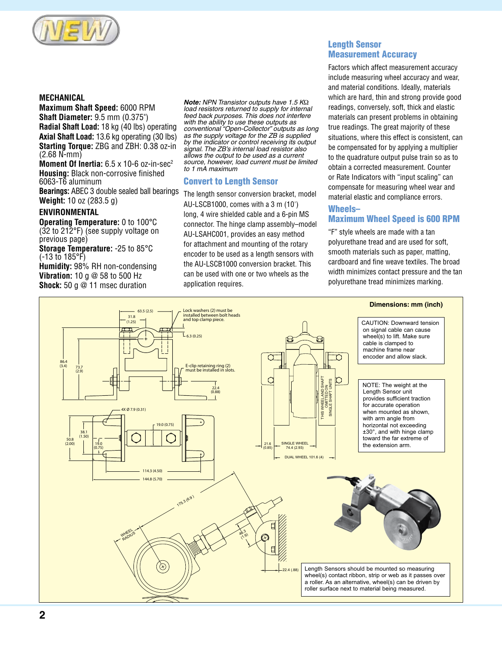

#### **MECHANICAL**

**Maximum Shaft Speed:** 6000 RPM **Shaft Diameter:** 9.5 mm (0.375") **Radial Shaft Load:** 18 kg (40 lbs) operating **Axial Shaft Load:** 13.6 kg operating (30 lbs) **Starting Torque:** ZBG and ZBH: 0.38 oz-in (2.68 N-mm)

**Moment Of Inertia:** 6.5 x 10-6 oz-in-sec<sup>2</sup> **Housing:** Black non-corrosive finished 6063-T6 aluminum

**Bearings:** ABEC 3 double sealed ball bearings **Weight:** 10 oz (283.5 g)

# **ENVIRONMENTAL**

**Operating Temperature:** 0 to 100°C (32 to 212°F) (see supply voltage on previous page)

**Storage Temperature:** -25 to 85°C (-13 to 185°F)

**Humidity:** 98% RH non-condensing **Vibration:** 10 g @ 58 to 500 Hz **Shock:** 50 g @ 11 msec duration

*Note: NPN Transistor outputs have 1.5 K*Ω *load resistors returned to supply for internal feed back purposes. This does not interfere with the ability to use these outputs as conventional "Open-Collector" outputs as long as the supply voltage for the ZB is supplied by the indicator or control receiving its output signal. The ZB's internal load resistor also allows the output to be used as a current source, however, load current must be limited to 1 mA maximum*

#### Convert to Length Sensor

The length sensor conversion bracket, model AU-LSCB1000, comes with a 3 m (10') long, 4 wire shielded cable and a 6-pin MS connector. The hinge clamp assembly–model AU-LSAHC001, provides an easy method for attachment and mounting of the rotary encoder to be used as a length sensors with the AU-LSCB1000 conversion bracket. This can be used with one or two wheels as the application requires.

# Length Sensor Measurement Accuracy

Factors which affect measurement accuracy include measuring wheel accuracy and wear, and material conditions. Ideally, materials which are hard, thin and strong provide good readings, conversely, soft, thick and elastic materials can present problems in obtaining true readings. The great majority of these situations, where this effect is consistent, can be compensated for by applying a multiplier to the quadrature output pulse train so as to obtain a corrected measurement. Counter or Rate Indicators with "input scaling" can compensate for measuring wheel wear and material elastic and compliance errors.

# Wheels–

# Maximum Wheel Speed is 600 RPM

 $\sum_{n=1}^{\infty}$ smooth materials such as paper, matting, embournmaterials such as paper, matting,<br>cardboard and fine weave textiles. The broad capital in the top width minimizes contact pressure and the tan polyurethane tread minimizes marking. "F" style wheels are made with a tan polyurethane tread and are used for soft, ave textiles. The broad cable *cocal* called to  $\overline{\phantom{a}}$  with a tan cause cause  $\overline{\phantom{a}}$ papor, matung,